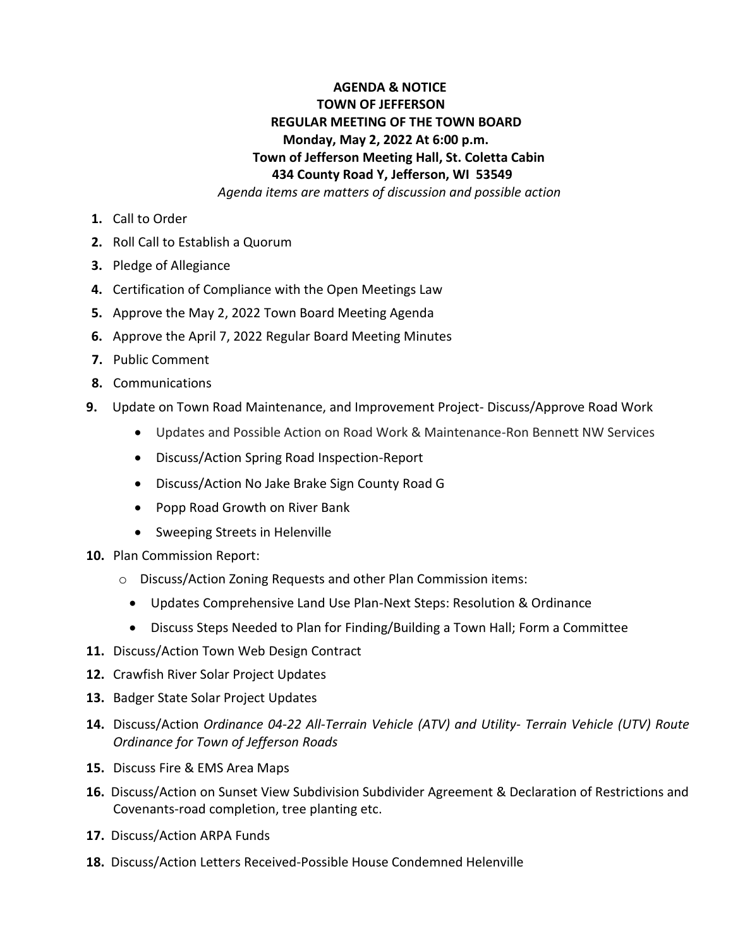## **AGENDA & NOTICE TOWN OF JEFFERSON REGULAR MEETING OF THE TOWN BOARD Monday, May 2, 2022 At 6:00 p.m. Town of Jefferson Meeting Hall, St. Coletta Cabin 434 County Road Y, Jefferson, WI 53549**

 *Agenda items are matters of discussion and possible action*

- **1.** Call to Order
- **2.** Roll Call to Establish a Quorum
- **3.** Pledge of Allegiance
- **4.** Certification of Compliance with the Open Meetings Law
- **5.** Approve the May 2, 2022 Town Board Meeting Agenda
- **6.** Approve the April 7, 2022 Regular Board Meeting Minutes
- **7.** Public Comment
- **8.** Communications
- **9.** Update on Town Road Maintenance, and Improvement Project- Discuss/Approve Road Work
	- Updates and Possible Action on Road Work & Maintenance-Ron Bennett NW Services
	- Discuss/Action Spring Road Inspection-Report
	- Discuss/Action No Jake Brake Sign County Road G
	- Popp Road Growth on River Bank
	- Sweeping Streets in Helenville
- **10.** Plan Commission Report:
	- o Discuss/Action Zoning Requests and other Plan Commission items:
		- Updates Comprehensive Land Use Plan-Next Steps: Resolution & Ordinance
		- Discuss Steps Needed to Plan for Finding/Building a Town Hall; Form a Committee
- **11.** Discuss/Action Town Web Design Contract
- **12.** Crawfish River Solar Project Updates
- **13.** Badger State Solar Project Updates
- **14.** Discuss/Action *Ordinance 04-22 All-Terrain Vehicle (ATV) and Utility- Terrain Vehicle (UTV) Route Ordinance for Town of Jefferson Roads*
- **15.** Discuss Fire & EMS Area Maps
- **16.** Discuss/Action on Sunset View Subdivision Subdivider Agreement & Declaration of Restrictions and Covenants-road completion, tree planting etc.
- **17.** Discuss/Action ARPA Funds
- **18.** Discuss/Action Letters Received-Possible House Condemned Helenville